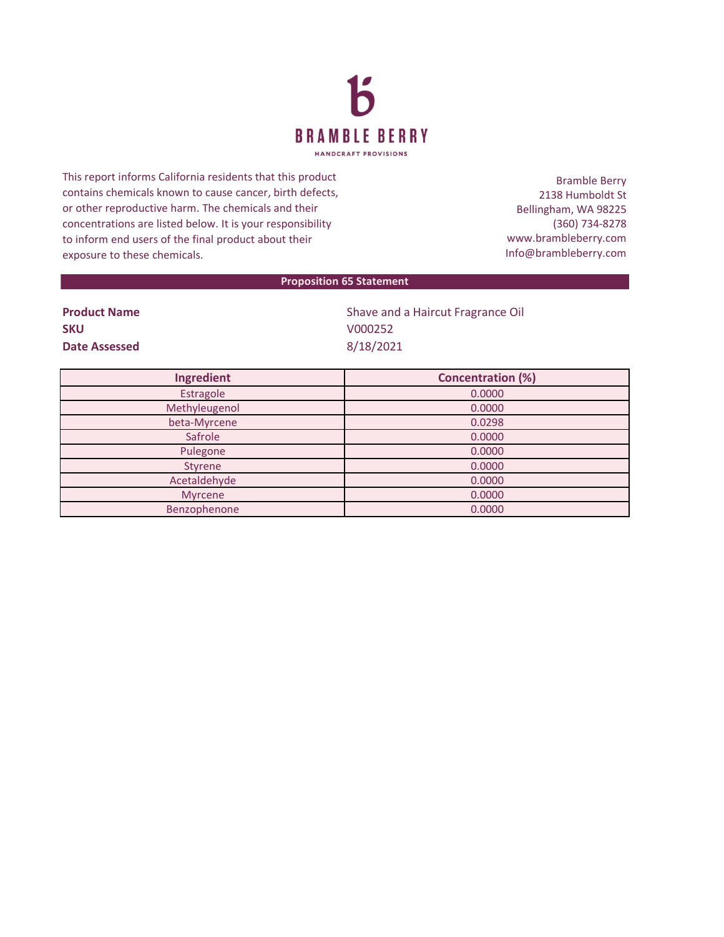

This report informs California residents that this product contains chemicals known to cause cancer, birth defects, or other reproductive harm. The chemicals and their concentrations are listed below. It is your responsibility to inform end users of the final product about their exposure to these chemicals.

Bramble Berry 2138 Humboldt St Bellingham, WA 98225 (360) 734-8278 www.brambleberry.com Info@brambleberry.com

## **Proposition 65 Statement**

| <b>Product Name</b>  |  |
|----------------------|--|
| <b>SKU</b>           |  |
| <b>Date Assessed</b> |  |

**Shave and a Haircut Fragrance Oil SKU** V000252 **Date Assessed** 8/18/2021

| Ingredient    | <b>Concentration (%)</b> |
|---------------|--------------------------|
| Estragole     | 0.0000                   |
| Methyleugenol | 0.0000                   |
| beta-Myrcene  | 0.0298                   |
| Safrole       | 0.0000                   |
| Pulegone      | 0.0000                   |
| Styrene       | 0.0000                   |
| Acetaldehyde  | 0.0000                   |
| Myrcene       | 0.0000                   |
| Benzophenone  | 0.0000                   |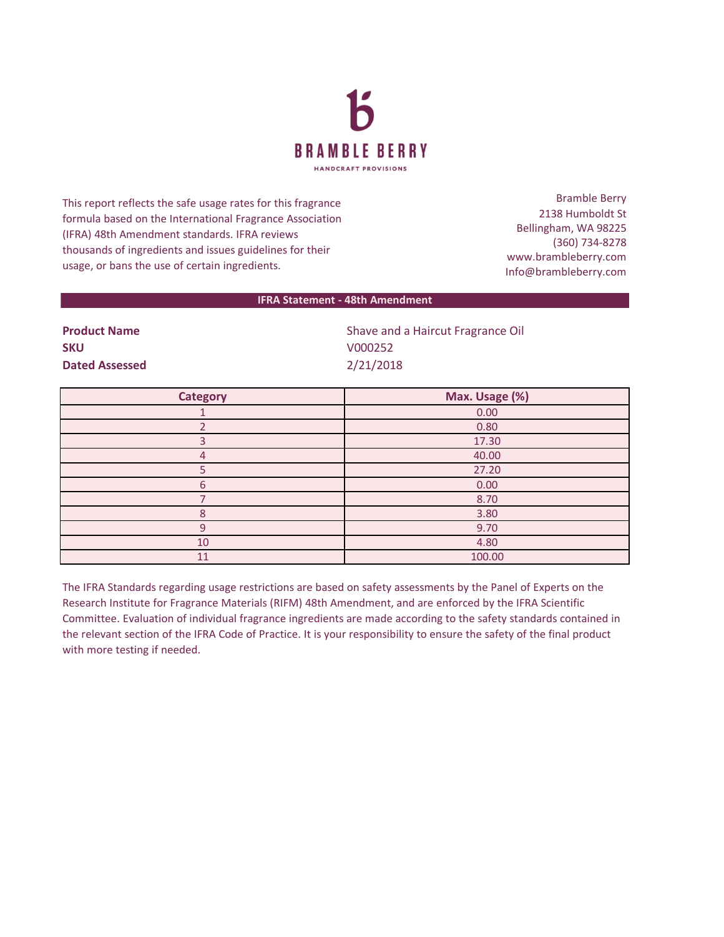

This report reflects the safe usage rates for this fragrance formula based on the International Fragrance Association (IFRA) 48th Amendment standards. IFRA reviews thousands of ingredients and issues guidelines for their usage, or bans the use of certain ingredients.

Bramble Berry 2138 Humboldt St Bellingham, WA 98225 (360) 734-8278 www.brambleberry.com Info@brambleberry.com

## **IFRA Statement - 48th Amendment**

**SKU** V000252 **Dated Assessed** 2/21/2018

**Product Name Shave and a Haircut Fragrance Oil** Shave and a Haircut Fragrance Oil

| <b>Category</b> | Max. Usage (%) |
|-----------------|----------------|
|                 | 0.00           |
|                 | 0.80           |
| з               | 17.30          |
| 4               | 40.00          |
|                 | 27.20          |
| 6               | 0.00           |
|                 | 8.70           |
| Я               | 3.80           |
| 9               | 9.70           |
| 10              | 4.80           |
| 11              | 100.00         |

The IFRA Standards regarding usage restrictions are based on safety assessments by the Panel of Experts on the Research Institute for Fragrance Materials (RIFM) 48th Amendment, and are enforced by the IFRA Scientific Committee. Evaluation of individual fragrance ingredients are made according to the safety standards contained in the relevant section of the IFRA Code of Practice. It is your responsibility to ensure the safety of the final product with more testing if needed.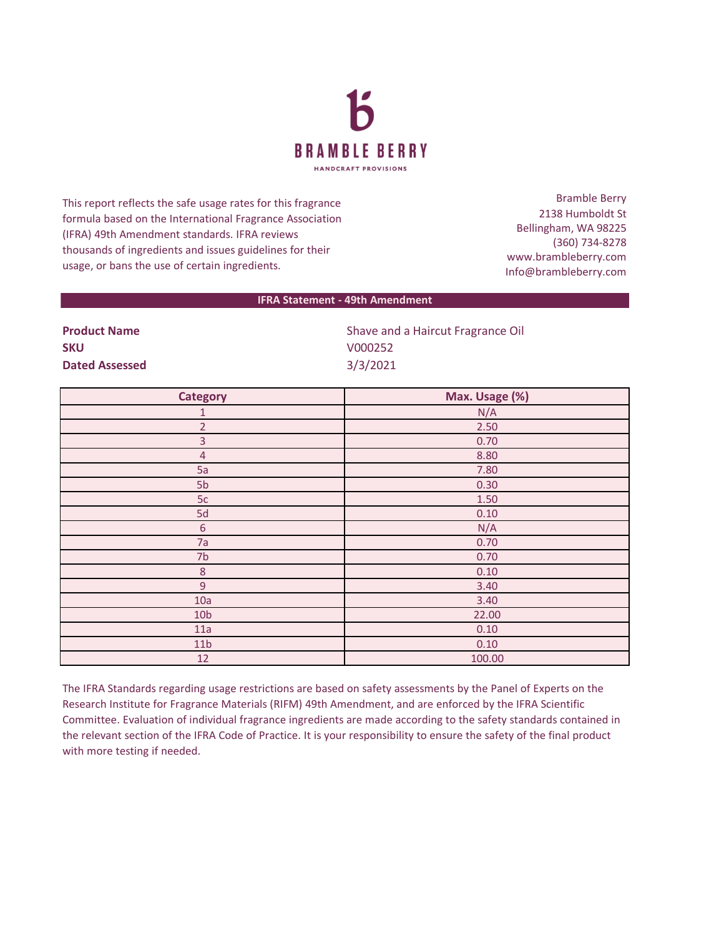

This report reflects the safe usage rates for this fragrance formula based on the International Fragrance Association (IFRA) 49th Amendment standards. IFRA reviews thousands of ingredients and issues guidelines for their usage, or bans the use of certain ingredients.

Bramble Berry 2138 Humboldt St Bellingham, WA 98225 (360) 734-8278 www.brambleberry.com Info@brambleberry.com

## **IFRA Statement - 49th Amendment**

| <b>SKU</b>            |
|-----------------------|
|                       |
| <b>Dated Assessed</b> |
|                       |

**Product Name** Shave and a Haircut Fragrance Oil **SKU** V000252 **Dated Assessed** 3/3/2021

| <b>Category</b>  | Max. Usage (%) |
|------------------|----------------|
| $\mathbf{1}$     | N/A            |
| $\overline{2}$   | 2.50           |
| $\overline{3}$   | 0.70           |
| $\overline{4}$   | 8.80           |
| 5a               | 7.80           |
| 5b               | 0.30           |
| 5c               | 1.50           |
| 5d               | 0.10           |
| $\boldsymbol{6}$ | N/A            |
| 7a               | 0.70           |
| 7 <sub>b</sub>   | 0.70           |
| $\, 8$           | 0.10           |
| 9                | 3.40           |
| 10a              | 3.40           |
| 10 <sub>b</sub>  | 22.00          |
| 11a              | 0.10           |
| 11 <sub>b</sub>  | 0.10           |
| 12               | 100.00         |

The IFRA Standards regarding usage restrictions are based on safety assessments by the Panel of Experts on the Research Institute for Fragrance Materials (RIFM) 49th Amendment, and are enforced by the IFRA Scientific Committee. Evaluation of individual fragrance ingredients are made according to the safety standards contained in the relevant section of the IFRA Code of Practice. It is your responsibility to ensure the safety of the final product with more testing if needed.